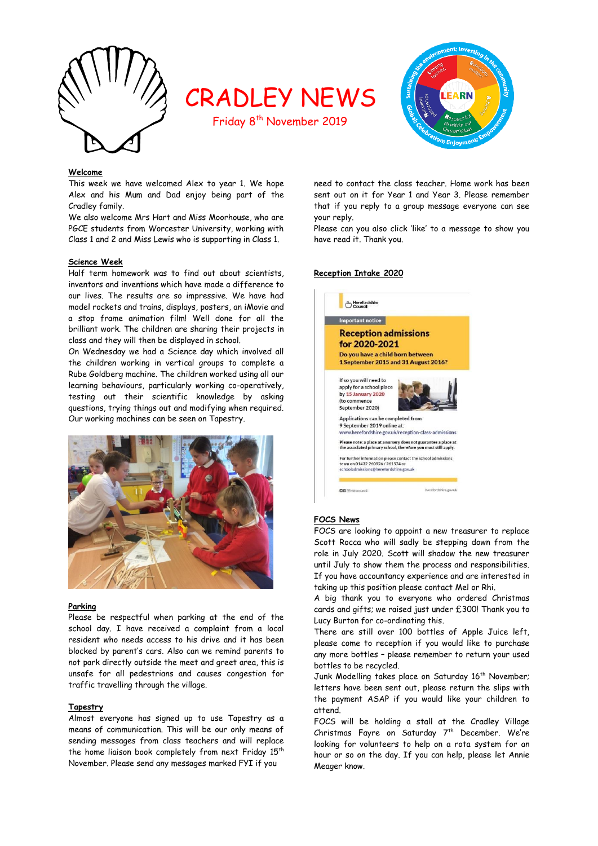

# CRADLEY NEWS

Friday 8<sup>th</sup> November 2019



# **Welcome**

This week we have welcomed Alex to year 1. We hope Alex and his Mum and Dad enjoy being part of the Cradley family.

We also welcome Mrs Hart and Miss Moorhouse, who are PGCE students from Worcester University, working with Class 1 and 2 and Miss Lewis who is supporting in Class 1.

#### **Science Week**

Half term homework was to find out about scientists, inventors and inventions which have made a difference to our lives. The results are so impressive. We have had model rockets and trains, displays, posters, an iMovie and a stop frame animation film! Well done for all the brilliant work. The children are sharing their projects in class and they will then be displayed in school.

On Wednesday we had a Science day which involved all the children working in vertical groups to complete a Rube Goldberg machine. The children worked using all our learning behaviours, particularly working co-operatively, testing out their scientific knowledge by asking questions, trying things out and modifying when required. Our working machines can be seen on Tapestry.



#### **Parking**

Please be respectful when parking at the end of the school day. I have received a complaint from a local resident who needs access to his drive and it has been blocked by parent's cars. Also can we remind parents to not park directly outside the meet and greet area, this is unsafe for all pedestrians and causes congestion for traffic travelling through the village.

#### **Tapestry**

Almost everyone has signed up to use Tapestry as a means of communication. This will be our only means of sending messages from class teachers and will replace the home liaison book completely from next Friday 15<sup>th</sup> November. Please send any messages marked FYI if you

need to contact the class teacher. Home work has been sent out on it for Year 1 and Year 3. Please remember that if you reply to a group message everyone can see your reply.

Please can you also click 'like' to a message to show you have read it. Thank you.

#### **Reception Intake 2020**



#### **FOCS News**

FOCS are looking to appoint a new treasurer to replace Scott Rocca who will sadly be stepping down from the role in July 2020. Scott will shadow the new treasurer until July to show them the process and responsibilities. If you have accountancy experience and are interested in taking up this position please contact Mel or Rhi.

A big thank you to everyone who ordered Christmas cards and gifts; we raised just under £300! Thank you to Lucy Burton for co-ordinating this.

There are still over 100 bottles of Apple Juice left, please come to reception if you would like to purchase any more bottles – please remember to return your used bottles to be recycled.

Junk Modelling takes place on Saturday 16<sup>th</sup> November; letters have been sent out, please return the slips with the payment ASAP if you would like your children to attend.

FOCS will be holding a stall at the Cradley Village Christmas Fayre on Saturday 7<sup>th</sup> December. We're looking for volunteers to help on a rota system for an hour or so on the day. If you can help, please let Annie Meager know.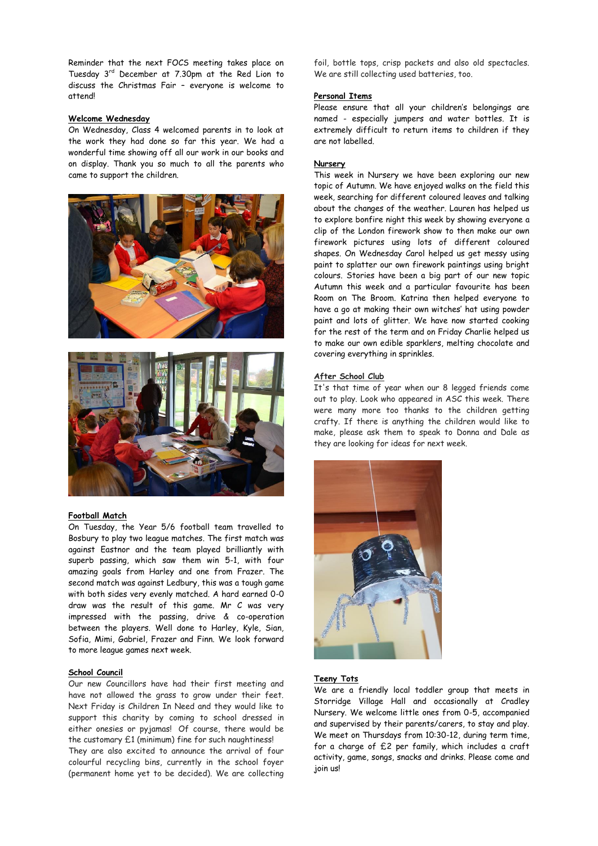Reminder that the next FOCS meeting takes place on Tuesday 3rd December at 7.30pm at the Red Lion to discuss the Christmas Fair – everyone is welcome to attend!

## **Welcome Wednesday**

On Wednesday, Class 4 welcomed parents in to look at the work they had done so far this year. We had a wonderful time showing off all our work in our books and on display. Thank you so much to all the parents who came to support the children.





#### **Football Match**

On Tuesday, the Year 5/6 football team travelled to Bosbury to play two league matches. The first match was against Eastnor and the team played brilliantly with superb passing, which saw them win 5-1, with four amazing goals from Harley and one from Frazer. The second match was against Ledbury, this was a tough game with both sides very evenly matched. A hard earned 0-0 draw was the result of this game. Mr C was very impressed with the passing, drive & co-operation between the players. Well done to Harley, Kyle, Sian, Sofia, Mimi, Gabriel, Frazer and Finn. We look forward to more league games next week.

#### **School Council**

Our new Councillors have had their first meeting and have not allowed the grass to grow under their feet. Next Friday is Children In Need and they would like to support this charity by coming to school dressed in either onesies or pyjamas! Of course, there would be the customary £1 (minimum) fine for such naughtiness!

They are also excited to announce the arrival of four colourful recycling bins, currently in the school foyer (permanent home yet to be decided). We are collecting foil, bottle tops, crisp packets and also old spectacles. We are still collecting used batteries, too.

## **Personal Items**

Please ensure that all your children's belongings are named - especially jumpers and water bottles. It is extremely difficult to return items to children if they are not labelled.

#### **Nursery**

This week in Nursery we have been exploring our new topic of Autumn. We have enjoyed walks on the field this week, searching for different coloured leaves and talking about the changes of the weather. Lauren has helped us to explore bonfire night this week by showing everyone a clip of the London firework show to then make our own firework pictures using lots of different coloured shapes. On Wednesday Carol helped us get messy using paint to splatter our own firework paintings using bright colours. Stories have been a big part of our new topic Autumn this week and a particular favourite has been Room on The Broom. Katrina then helped everyone to have a go at making their own witches' hat using powder paint and lots of glitter. We have now started cooking for the rest of the term and on Friday Charlie helped us to make our own edible sparklers, melting chocolate and covering everything in sprinkles.

#### **After School Club**

It's that time of year when our 8 legged friends come out to play. Look who appeared in ASC this week. There were many more too thanks to the children getting crafty. If there is anything the children would like to make, please ask them to speak to Donna and Dale as they are looking for ideas for next week.



#### **Teeny Tots**

We are a friendly local toddler group that meets in Storridge Village Hall and occasionally at Cradley Nursery. We welcome little ones from 0-5, accompanied and supervised by their parents/carers, to stay and play. We meet on Thursdays from 10:30-12, during term time, for a charge of £2 per family, which includes a craft activity, game, songs, snacks and drinks. Please come and join us!